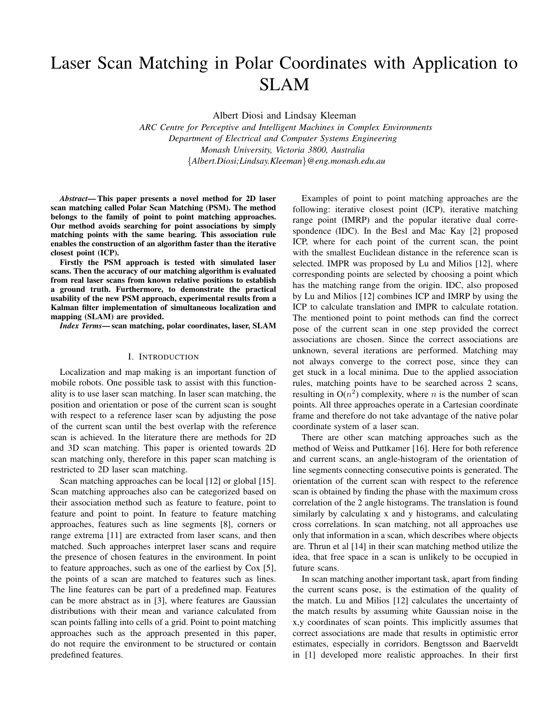# Laser Scan Matching in Polar Coordinates with Application to SLAM

Albert Diosi and Lindsay Kleeman

*ARC Centre for Perceptive and Intelligent Machines in Complex Environments Department of Electrical and Computer Systems Engineering Monash University, Victoria 3800, Australia* {*Albert.Diosi;Lindsay.Kleeman*}*@eng.monash.edu.au*

*Abstract***— This paper presents a novel method for 2D laser scan matching called Polar Scan Matching (PSM). The method belongs to the family of point to point matching approaches. Our method avoids searching for point associations by simply matching points with the same bearing. This association rule enables the construction of an algorithm faster than the iterative closest point (ICP).**

**Firstly the PSM approach is tested with simulated laser scans. Then the accuracy of our matching algorithm is evaluated from real laser scans from known relative positions to establish a ground truth. Furthermore, to demonstrate the practical usability of the new PSM approach, experimental results from a Kalman filter implementation of simultaneous localization and mapping (SLAM) are provided.**

*Index Terms***— scan matching, polar coordinates, laser, SLAM**

#### I. INTRODUCTION

Localization and map making is an important function of mobile robots. One possible task to assist with this functionality is to use laser scan matching. In laser scan matching, the position and orientation or pose of the current scan is sought with respect to a reference laser scan by adjusting the pose of the current scan until the best overlap with the reference scan is achieved. In the literature there are methods for 2D and 3D scan matching. This paper is oriented towards 2D scan matching only, therefore in this paper scan matching is restricted to 2D laser scan matching.

Scan matching approaches can be local [12] or global [15]. Scan matching approaches also can be categorized based on their association method such as feature to feature, point to feature and point to point. In feature to feature matching approaches, features such as line segments [8], corners or range extrema [11] are extracted from laser scans, and then matched. Such approaches interpret laser scans and require the presence of chosen features in the environment. In point to feature approaches, such as one of the earliest by Cox [5], the points of a scan are matched to features such as lines. The line features can be part of a predefined map. Features can be more abstract as in [3], where features are Gaussian distributions with their mean and variance calculated from scan points falling into cells of a grid. Point to point matching approaches such as the approach presented in this paper, do not require the environment to be structured or contain predefined features.

Examples of point to point matching approaches are the following: iterative closest point (ICP), iterative matching range point (IMRP) and the popular iterative dual correspondence (IDC). In the Besl and Mac Kay [2] proposed ICP, where for each point of the current scan, the point with the smallest Euclidean distance in the reference scan is selected. IMPR was proposed by Lu and Milios [12], where corresponding points are selected by choosing a point which has the matching range from the origin. IDC, also proposed by Lu and Milios [12] combines ICP and IMRP by using the ICP to calculate translation and IMPR to calculate rotation. The mentioned point to point methods can find the correct pose of the current scan in one step provided the correct associations are chosen. Since the correct associations are unknown, several iterations are performed. Matching may not always converge to the correct pose, since they can get stuck in a local minima. Due to the applied association rules, matching points have to be searched across 2 scans, resulting in  $O(n^2)$  complexity, where n is the number of scan points. All three approaches operate in a Cartesian coordinate frame and therefore do not take advantage of the native polar coordinate system of a laser scan.

There are other scan matching approaches such as the method of Weiss and Puttkamer [16]. Here for both reference and current scans, an angle-histogram of the orientation of line segments connecting consecutive points is generated. The orientation of the current scan with respect to the reference scan is obtained by finding the phase with the maximum cross correlation of the 2 angle histograms. The translation is found similarly by calculating x and y histograms, and calculating cross correlations. In scan matching, not all approaches use only that information in a scan, which describes where objects are. Thrun et al [14] in their scan matching method utilize the idea, that free space in a scan is unlikely to be occupied in future scans.

In scan matching another important task, apart from finding the current scans pose, is the estimation of the quality of the match. Lu and Milios [12] calculates the uncertainty of the match results by assuming white Gaussian noise in the x,y coordinates of scan points. This implicitly assumes that correct associations are made that results in optimistic error estimates, especially in corridors. Bengtsson and Baerveldt in [1] developed more realistic approaches. In their first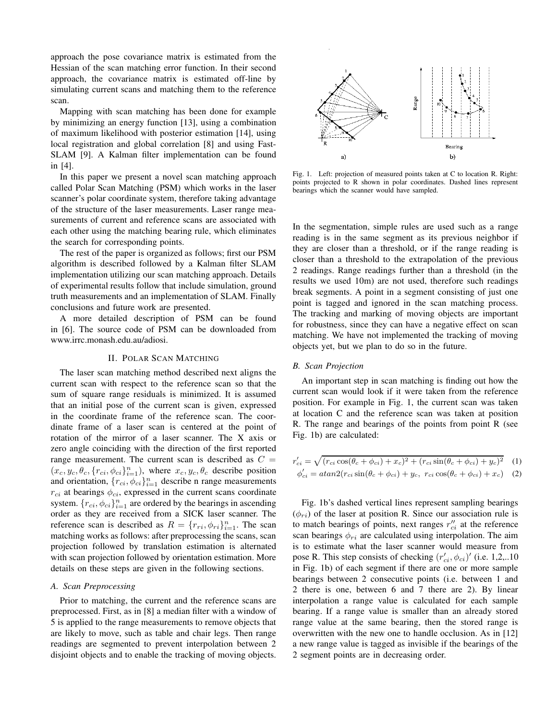approach the pose covariance matrix is estimated from the Hessian of the scan matching error function. In their second approach, the covariance matrix is estimated off-line by simulating current scans and matching them to the reference scan.

Mapping with scan matching has been done for example by minimizing an energy function [13], using a combination of maximum likelihood with posterior estimation [14], using local registration and global correlation [8] and using Fast-SLAM [9]. A Kalman filter implementation can be found in [4].

In this paper we present a novel scan matching approach called Polar Scan Matching (PSM) which works in the laser scanner's polar coordinate system, therefore taking advantage of the structure of the laser measurements. Laser range measurements of current and reference scans are associated with each other using the matching bearing rule, which eliminates the search for corresponding points.

The rest of the paper is organized as follows; first our PSM algorithm is described followed by a Kalman filter SLAM implementation utilizing our scan matching approach. Details of experimental results follow that include simulation, ground truth measurements and an implementation of SLAM. Finally conclusions and future work are presented.

A more detailed description of PSM can be found in [6]. The source code of PSM can be downloaded from www.irrc.monash.edu.au/adiosi.

## II. POLAR SCAN MATCHING

The laser scan matching method described next aligns the current scan with respect to the reference scan so that the sum of square range residuals is minimized. It is assumed that an initial pose of the current scan is given, expressed in the coordinate frame of the reference scan. The coordinate frame of a laser scan is centered at the point of rotation of the mirror of a laser scanner. The X axis or zero angle coinciding with the direction of the first reported range measurement. The current scan is described as  $C =$  $(x_c, y_c, \theta_c, \{r_{ci}, \phi_{ci}\}_{i=1}^n)$ , where  $x_c, y_c, \theta_c$  describe position and orientation,  $\{r_{ci}, \phi_{ci}\}_{i=1}^n$  describe n range measurements  $r_{ci}$  at bearings  $\phi_{ci}$ , expressed in the current scans coordinate system.  ${r_{ci}, \phi_{ci}}_{i=1}^n$  are ordered by the bearings in ascending order as they are received from a SICK laser scanner. The reference scan is described as  $R = \{r_{ri}, \phi_{ri}\}_{i=1}^n$ . The scan matching works as follows: after preprocessing the scans, scan projection followed by translation estimation is alternated with scan projection followed by orientation estimation. More details on these steps are given in the following sections.

# *A. Scan Preprocessing*

Prior to matching, the current and the reference scans are preprocessed. First, as in [8] a median filter with a window of 5 is applied to the range measurements to remove objects that are likely to move, such as table and chair legs. Then range readings are segmented to prevent interpolation between 2 disjoint objects and to enable the tracking of moving objects.



Fig. 1. Left: projection of measured points taken at C to location R. Right: points projected to R shown in polar coordinates. Dashed lines represent bearings which the scanner would have sampled.

In the segmentation, simple rules are used such as a range reading is in the same segment as its previous neighbor if they are closer than a threshold, or if the range reading is closer than a threshold to the extrapolation of the previous 2 readings. Range readings further than a threshold (in the results we used 10m) are not used, therefore such readings break segments. A point in a segment consisting of just one point is tagged and ignored in the scan matching process. The tracking and marking of moving objects are important for robustness, since they can have a negative effect on scan matching. We have not implemented the tracking of moving objects yet, but we plan to do so in the future.

## *B. Scan Projection*

An important step in scan matching is finding out how the current scan would look if it were taken from the reference position. For example in Fig. 1, the current scan was taken at location C and the reference scan was taken at position R. The range and bearings of the points from point R (see Fig. 1b) are calculated:

$$
r'_{ci} = \sqrt{(r_{ci}\cos(\theta_c + \phi_{ci}) + x_c)^2 + (r_{ci}\sin(\theta_c + \phi_{ci}) + y_c)^2}
$$
 (1)  

$$
\phi'_{ci} = \frac{atan2(r_{ci}\sin(\theta_c + \phi_{ci}) + y_c, r_{ci}\cos(\theta_c + \phi_{ci}) + x_c)}{2}
$$

Fig. 1b's dashed vertical lines represent sampling bearings  $(\phi_{ri})$  of the laser at position R. Since our association rule is to match bearings of points, next ranges  $r''_{ci}$  at the reference scan bearings  $\phi_{ri}$  are calculated using interpolation. The aim is to estimate what the laser scanner would measure from pose R. This step consists of checking  $(r'_{ci}, \phi_{ci})'$  (i.e. 1,2,..10) in Fig. 1b) of each segment if there are one or more sample bearings between 2 consecutive points (i.e. between 1 and 2 there is one, between 6 and 7 there are 2). By linear interpolation a range value is calculated for each sample bearing. If a range value is smaller than an already stored range value at the same bearing, then the stored range is overwritten with the new one to handle occlusion. As in [12] a new range value is tagged as invisible if the bearings of the 2 segment points are in decreasing order.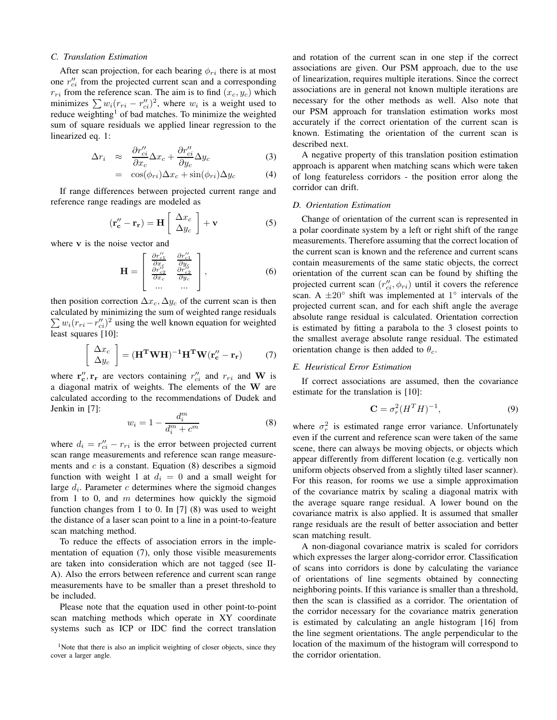### *C. Translation Estimation*

After scan projection, for each bearing  $\phi_{ri}$  there is at most one  $r''_{ci}$  from the projected current scan and a corresponding  $r_{ri}$  from the reference scan. The aim is to find  $(x_c, y_c)$  which minimizes  $\sum w_i (r_{ri} - r''_{ci})^2$ , where  $w_i$  is a weight used to reduce weighting<sup>1</sup> of bad matches. To minimize the weighted sum of square residuals we applied linear regression to the linearized eq. 1:

$$
\Delta r_i \approx \frac{\partial r_{ci}^{\prime\prime}}{\partial x_c} \Delta x_c + \frac{\partial r_{ci}^{\prime\prime}}{\partial y_c} \Delta y_c \tag{3}
$$

$$
= \cos(\phi_{ri})\Delta x_c + \sin(\phi_{ri})\Delta y_c \tag{4}
$$

If range differences between projected current range and reference range readings are modeled as

$$
\left(\mathbf{r}_{\mathbf{c}}^{"}-\mathbf{r}_{\mathbf{r}}\right) = \mathbf{H}\left[\begin{array}{c} \Delta x_c \\ \Delta y_c \end{array}\right] + \mathbf{v} \tag{5}
$$

where v is the noise vector and

$$
\mathbf{H} = \begin{bmatrix} \frac{\partial r_{c1}^{\prime\prime}}{\partial x_c} & \frac{\partial r_{c1}^{\prime\prime}}{\partial y_c} \\ \frac{\partial r_{c2}^{\prime\prime}}{\partial x_c} & \frac{\partial r_{c2}^{\prime\prime}}{\partial y_c} \\ \cdots & \cdots \end{bmatrix},
$$
(6)

then position correction  $\Delta x_c$ ,  $\Delta y_c$  of the current scan is then calculated by minimizing the sum of weighted range residuals  $\sum w_i (r_{ri} - r''_{ci})^2$  using the well known equation for weighted least squares [10]:

$$
\left[\begin{array}{c} \Delta x_c \\ \Delta y_c \end{array}\right] = (\mathbf{H}^{\mathbf{T}} \mathbf{W} \mathbf{H})^{-1} \mathbf{H}^{\mathbf{T}} \mathbf{W} (\mathbf{r}_c'' - \mathbf{r}_r) \tag{7}
$$

where  $\mathbf{r''_c}, \mathbf{r_r}$  are vectors containing  $r''_{ci}$  and  $r_{ri}$  and W is a diagonal matrix of weights. The elements of the W are calculated according to the recommendations of Dudek and Jenkin in [7]:

$$
w_i = 1 - \frac{d_i^m}{d_i^m + c^m} \tag{8}
$$

where  $d_i = r''_{ci} - r_{ri}$  is the error between projected current scan range measurements and reference scan range measurements and  $c$  is a constant. Equation (8) describes a sigmoid function with weight 1 at  $d_i = 0$  and a small weight for large  $d_i$ . Parameter  $c$  determines where the sigmoid changes from 1 to 0, and  $m$  determines how quickly the sigmoid function changes from 1 to 0. In [7] (8) was used to weight the distance of a laser scan point to a line in a point-to-feature scan matching method.

To reduce the effects of association errors in the implementation of equation (7), only those visible measurements are taken into consideration which are not tagged (see II-A). Also the errors between reference and current scan range measurements have to be smaller than a preset threshold to be included.

Please note that the equation used in other point-to-point scan matching methods which operate in XY coordinate systems such as ICP or IDC find the correct translation

<sup>1</sup>Note that there is also an implicit weighting of closer objects, since they cover a larger angle.

and rotation of the current scan in one step if the correct associations are given. Our PSM approach, due to the use of linearization, requires multiple iterations. Since the correct associations are in general not known multiple iterations are necessary for the other methods as well. Also note that our PSM approach for translation estimation works most accurately if the correct orientation of the current scan is known. Estimating the orientation of the current scan is described next.

A negative property of this translation position estimation approach is apparent when matching scans which were taken of long featureless corridors - the position error along the corridor can drift.

# *D. Orientation Estimation*

Change of orientation of the current scan is represented in a polar coordinate system by a left or right shift of the range measurements. Therefore assuming that the correct location of the current scan is known and the reference and current scans contain measurements of the same static objects, the correct orientation of the current scan can be found by shifting the projected current scan  $(r''_{ci}, \phi_{ri})$  until it covers the reference scan. A  $\pm 20^{\circ}$  shift was implemented at 1° intervals of the projected current scan, and for each shift angle the average absolute range residual is calculated. Orientation correction is estimated by fitting a parabola to the 3 closest points to the smallest average absolute range residual. The estimated orientation change is then added to  $\theta_c$ .

# *E. Heuristical Error Estimation*

If correct associations are assumed, then the covariance estimate for the translation is [10]:

$$
\mathbf{C} = \sigma_r^2 (H^T H)^{-1},\tag{9}
$$

where  $\sigma_r^2$  is estimated range error variance. Unfortunately even if the current and reference scan were taken of the same scene, there can always be moving objects, or objects which appear differently from different location (e.g. vertically non uniform objects observed from a slightly tilted laser scanner). For this reason, for rooms we use a simple approximation of the covariance matrix by scaling a diagonal matrix with the average square range residual. A lower bound on the covariance matrix is also applied. It is assumed that smaller range residuals are the result of better association and better scan matching result.

A non-diagonal covariance matrix is scaled for corridors which expresses the larger along-corridor error. Classification of scans into corridors is done by calculating the variance of orientations of line segments obtained by connecting neighboring points. If this variance is smaller than a threshold, then the scan is classified as a corridor. The orientation of the corridor necessary for the covariance matrix generation is estimated by calculating an angle histogram [16] from the line segment orientations. The angle perpendicular to the location of the maximum of the histogram will correspond to the corridor orientation.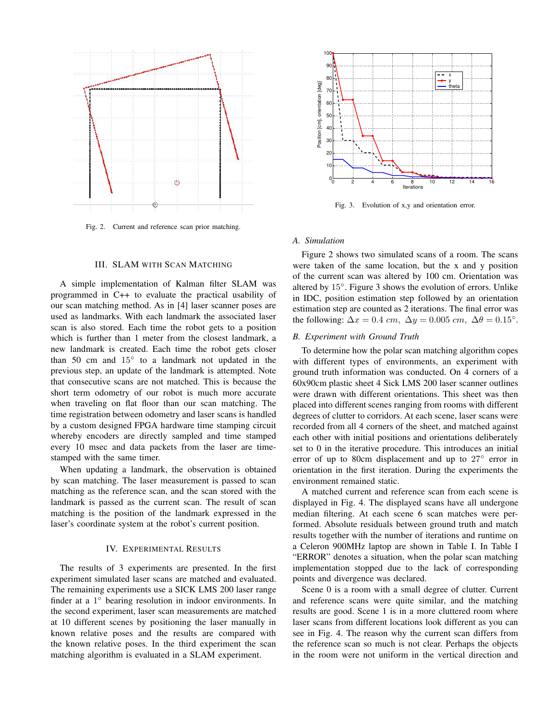

Fig. 2. Current and reference scan prior matching.

# III. SLAM WITH SCAN MATCHING

A simple implementation of Kalman filter SLAM was programmed in C++ to evaluate the practical usability of our scan matching method. As in [4] laser scanner poses are used as landmarks. With each landmark the associated laser scan is also stored. Each time the robot gets to a position which is further than 1 meter from the closest landmark, a new landmark is created. Each time the robot gets closer than 50 cm and 15◦ to a landmark not updated in the previous step, an update of the landmark is attempted. Note that consecutive scans are not matched. This is because the short term odometry of our robot is much more accurate when traveling on flat floor than our scan matching. The time registration between odometry and laser scans is handled by a custom designed FPGA hardware time stamping circuit whereby encoders are directly sampled and time stamped every 10 msec and data packets from the laser are timestamped with the same timer.

When updating a landmark, the observation is obtained by scan matching. The laser measurement is passed to scan matching as the reference scan, and the scan stored with the landmark is passed as the current scan. The result of scan matching is the position of the landmark expressed in the laser's coordinate system at the robot's current position.

## IV. EXPERIMENTAL RESULTS

The results of 3 experiments are presented. In the first experiment simulated laser scans are matched and evaluated. The remaining experiments use a SICK LMS 200 laser range finder at a 1° bearing resolution in indoor environments. In the second experiment, laser scan measurements are matched at 10 different scenes by positioning the laser manually in known relative poses and the results are compared with the known relative poses. In the third experiment the scan matching algorithm is evaluated in a SLAM experiment.



Fig. 3. Evolution of x,y and orientation error.

# *A. Simulation*

Figure 2 shows two simulated scans of a room. The scans were taken of the same location, but the x and y position of the current scan was altered by 100 cm. Orientation was altered by 15◦ . Figure 3 shows the evolution of errors. Unlike in IDC, position estimation step followed by an orientation estimation step are counted as 2 iterations. The final error was the following:  $\Delta x = 0.4$  cm,  $\Delta y = 0.005$  cm,  $\Delta \theta = 0.15^{\circ}$ .

# *B. Experiment with Ground Truth*

To determine how the polar scan matching algorithm copes with different types of environments, an experiment with ground truth information was conducted. On 4 corners of a 60x90cm plastic sheet 4 Sick LMS 200 laser scanner outlines were drawn with different orientations. This sheet was then placed into different scenes ranging from rooms with different degrees of clutter to corridors. At each scene, laser scans were recorded from all 4 corners of the sheet, and matched against each other with initial positions and orientations deliberately set to 0 in the iterative procedure. This introduces an initial error of up to 80cm displacement and up to 27° error in orientation in the first iteration. During the experiments the environment remained static.

A matched current and reference scan from each scene is displayed in Fig. 4. The displayed scans have all undergone median filtering. At each scene 6 scan matches were performed. Absolute residuals between ground truth and match results together with the number of iterations and runtime on a Celeron 900MHz laptop are shown in Table I. In Table I "ERROR" denotes a situation, when the polar scan matching implementation stopped due to the lack of corresponding points and divergence was declared.

Scene 0 is a room with a small degree of clutter. Current and reference scans were quite similar, and the matching results are good. Scene 1 is in a more cluttered room where laser scans from different locations look different as you can see in Fig. 4. The reason why the current scan differs from the reference scan so much is not clear. Perhaps the objects in the room were not uniform in the vertical direction and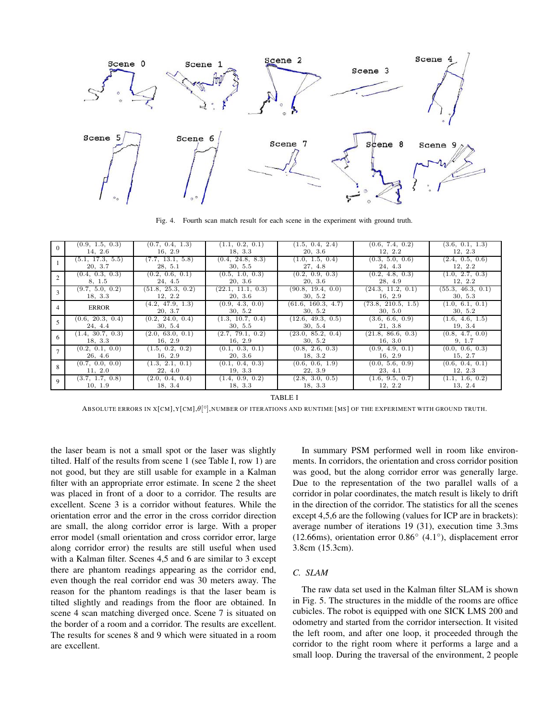

Fig. 4. Fourth scan match result for each scene in the experiment with ground truth.

|              | (0.9, 1.5, 0.3)  | (0.7, 0.4, 1.3)             | (1.1, 0.2, 0.1)            | (1.5, 0.4, 2.4)               | (0.6, 7.4, 0.2)               | (3.6, 0.1, 1.3)            |
|--------------|------------------|-----------------------------|----------------------------|-------------------------------|-------------------------------|----------------------------|
|              | 14, 2.6          | 16, 2.9                     | 18, 3.3                    | 20, 3.6                       | 12, 2.2                       | 12, 2.3                    |
|              | (5.1, 17.3, 5.5) | (7.7, 13.1, 5.8)            | (0.4, 24.8, 8.3)           | (1.0, 1.5, 0.4)               | (0.3, 5.0, 0.6)               | (2.4, 0.5, 0.6)            |
|              | 20, 3.7          | 28, 5.1                     | 30, 5.5                    | 27, 4.8                       | 24, 4.3                       | 12, 2.2                    |
|              | (0.4, 0.3, 0.3)  | (0.2, 0.6, 0.1)             | (0.5, 1.0, 0.3)            | (0.2, 0.9, 0.3)               | (0.2, 4.8, 0.3)               | (1.0, 2.7, 0.3)            |
|              | 8, 1.5           | 24, 4.5                     | 20, 3.6                    | 20, 3.6                       | 28, 4.9                       | 12, 2.2                    |
| $\mathbf{3}$ | (9.7, 5.0, 0.2)  | (51.8, 25.3, 0.2)           | (22.1, 11.1, 0.3)          | (90.8, 19.4, 0.0)             | (24.3, 11.2, 0.1)             | (55.3, 46.3, 0.1)          |
|              | 18, 3.3          | 12, 2.2                     | 20, 3.6                    | 30, 5.2                       | 16, 2.9                       | 30, 5.3                    |
| 4            | <b>ERROR</b>     | (4.2, 47.9, 1.3)<br>20, 3.7 | (0.9, 4.3, 0.0)<br>30, 5.2 | (61.6, 160.3, 4.7)<br>30, 5.2 | (73.8, 210.5, 1.5)<br>30, 5.0 | (1.0, 6.1, 0.1)<br>30, 5.2 |
|              | (0.6, 20.3, 0.4) | (0.2, 24.0, 0.4)            | (1.3, 10.7, 0.4)           | (12.6, 49.3, 0.5)             | (3.6, 6.6, 0.9)               | (1.6, 4.6, 1.5)            |
|              | 24, 4.4          | 30, 5.4                     | 30, 5.5                    | 30, 5.4                       | 21, 3.8                       | 19, 3.4                    |
| 6            | (1.4, 30.7, 0.3) | (2.0, 63.0, 0.1)            | (2.7, 79.1, 0.2)           | (23.0, 85.2, 0.4)             | (21.8, 86.6, 0.3)             | (0.8, 4.7, 0.0)            |
|              | 18, 3.3          | 16, 2.9                     | 16, 2.9                    | 30, 5.2                       | 16, 3.0                       | 9, 1.7                     |
|              | (0.2, 0.1, 0.0)  | (1.5, 0.2, 0.2)             | (0.1, 0.3, 0.1)            | (0.8, 2.6, 0.3)               | (0.9, 4.9, 0.1)               | (0.0, 0.6, 0.3)            |
|              | 26, 4.6          | 16, 2.9                     | 20, 3.6                    | 18, 3.2                       | 16, 2.9                       | 15, 2.7                    |
|              | (0.7, 0.0, 0.0)  | (1.3, 2.1, 0.1)             | (0.1, 0.4, 0.3)            | (0.6, 0.6, 1.9)               | (0.0, 5.6, 0.9)               | (0.6, 0.4, 0.1)            |
|              | 11, 2.0          | 22, 4.0                     | 19, 3.3                    | 22, 3.9                       | 23, 4.1                       | 12, 2.3                    |
| $\mathbf Q$  | (3.7, 1.7, 0.8)  | (2.0, 0.4, 0.4)             | (1.4, 0.9, 0.2)            | (2.8, 3.0, 0.5)               | (1.6, 9.5, 0.7)               | (1.1, 1.6, 0.2)            |
|              | 10, 1.9          | 18, 3.4                     | 18, 3.3                    | 18, 3.3                       | 12, 2.2                       | 13, 2.4                    |

TABLE I

ABSOLUTE ERRORS IN X[CM],Y[CM], $\theta[^{\circ}]$ ,NUMBER OF ITERATIONS AND RUNTIME [MS] OF THE EXPERIMENT WITH GROUND TRUTH.

the laser beam is not a small spot or the laser was slightly tilted. Half of the results from scene 1 (see Table I, row 1) are not good, but they are still usable for example in a Kalman filter with an appropriate error estimate. In scene 2 the sheet was placed in front of a door to a corridor. The results are excellent. Scene 3 is a corridor without features. While the orientation error and the error in the cross corridor direction are small, the along corridor error is large. With a proper error model (small orientation and cross corridor error, large along corridor error) the results are still useful when used with a Kalman filter. Scenes 4,5 and 6 are similar to 3 except there are phantom readings appearing as the corridor end, even though the real corridor end was 30 meters away. The reason for the phantom readings is that the laser beam is tilted slightly and readings from the floor are obtained. In scene 4 scan matching diverged once. Scene 7 is situated on the border of a room and a corridor. The results are excellent. The results for scenes 8 and 9 which were situated in a room are excellent.

In summary PSM performed well in room like environments. In corridors, the orientation and cross corridor position was good, but the along corridor error was generally large. Due to the representation of the two parallel walls of a corridor in polar coordinates, the match result is likely to drift in the direction of the corridor. The statistics for all the scenes except 4,5,6 are the following (values for ICP are in brackets): average number of iterations 19 (31), execution time 3.3ms (12.66ms), orientation error 0.86◦ (4.1◦ ), displacement error 3.8cm (15.3cm).

# *C. SLAM*

The raw data set used in the Kalman filter SLAM is shown in Fig. 5. The structures in the middle of the rooms are office cubicles. The robot is equipped with one SICK LMS 200 and odometry and started from the corridor intersection. It visited the left room, and after one loop, it proceeded through the corridor to the right room where it performs a large and a small loop. During the traversal of the environment, 2 people